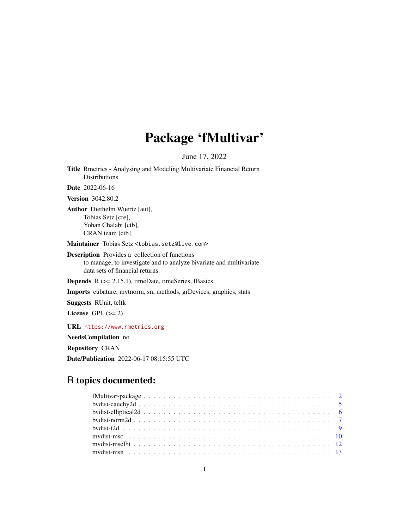# Package 'fMultivar'

June 17, 2022

Title Rmetrics - Analysing and Modeling Multivariate Financial Return Distributions

Date 2022-06-16

Version 3042.80.2

Author Diethelm Wuertz [aut], Tobias Setz [cre], Yohan Chalabi [ctb], CRAN team [ctb]

Maintainer Tobias Setz <tobias.setz@live.com>

Description Provides a collection of functions to manage, to investigate and to analyze bivariate and multivariate data sets of financial returns.

**Depends**  $R$  ( $>= 2.15.1$ ), timeDate, timeSeries, fBasics

Imports cubature, mvtnorm, sn, methods, grDevices, graphics, stats

Suggests RUnit, tcltk

License GPL  $(>= 2)$ 

URL <https://www.rmetrics.org>

NeedsCompilation no

Repository CRAN

Date/Publication 2022-06-17 08:15:55 UTC

# R topics documented: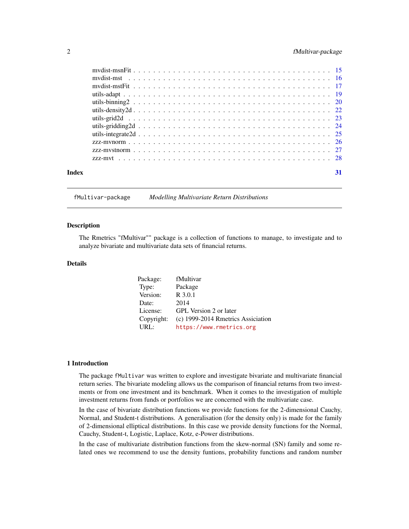# <span id="page-1-0"></span>2 fMultivar-package

|       | zzz-mythology proposedne processes and contract the contract of the 28 |    |
|-------|------------------------------------------------------------------------|----|
| Index |                                                                        | 31 |

fMultivar-package *Modelling Multivariate Return Distributions*

#### Description

The Rmetrics "fMultivar"" package is a collection of functions to manage, to investigate and to analyze bivariate and multivariate data sets of financial returns.

#### Details

| Package:   | fMultivar                          |
|------------|------------------------------------|
| Type:      | Package                            |
| Version:   | R 3.0.1                            |
| Date:      | 2014                               |
| License:   | GPL Version 2 or later             |
| Copyright: | (c) 1999-2014 Rmetrics Assiciation |
| URL:       | https://www.rmetrics.org           |

# 1 Introduction

The package fMultivar was written to explore and investigate bivariate and multivariate financial return series. The bivariate modeling allows us the comparison of financial returns from two investments or from one investment and its benchmark. When it comes to the investigation of multiple investment returns from funds or portfolios we are concerned with the multivariate case.

In the case of bivariate distribution functions we provide functions for the 2-dimensional Cauchy, Normal, and Student-t distributions. A generalisation (for the density only) is made for the family of 2-dimensional elliptical distributions. In this case we provide density functions for the Normal, Cauchy, Student-t, Logistic, Laplace, Kotz, e-Power distributions.

In the case of multivariate distribution functions from the skew-normal (SN) family and some related ones we recommend to use the density funtions, probability functions and random number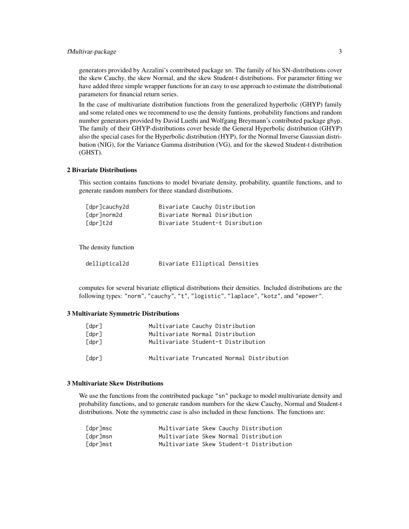# fMultivar-package 3

generators provided by Azzalini's contributed package sn. The family of his SN-distributions cover the skew Cauchy, the skew Normal, and the skew Student-t distributions. For parameter fitting we have added three simple wrapper functions for an easy to use approach to estimate the distributional parameters for financial return series.

In the case of multivariate distribution functions from the generalized hyperbolic (GHYP) family and some related ones we recommend to use the density funtions, probability functions and random number generators provided by David Luethi and Wolfgang Breymann's contributed package ghyp. The family of their GHYP-distributions cover beside the General Hyperbolic distribution (GHYP) also the special cases for the Hyperbolic distribution (HYP), for the Normal Inverse Gaussian distribution (NIG), for the Variance Gamma distribution (VG), and for the skewed Student-t distribution (GHST).

# 2 Bivariate Distributions

This section contains functions to model bivariate density, probability, quantile functions, and to generate random numbers for three standard distributions.

| [dpr]cauchy2d | Bivariate Cauchy Distribution |  |                                 |
|---------------|-------------------------------|--|---------------------------------|
| [dpr]norm2d   | Bivariate Normal Disribution  |  |                                 |
| [dpr]t2d      |                               |  | Bivariate Student-t Disribution |

The density function

| delliptical2d |  | Bivariate Elliptical Densities |  |
|---------------|--|--------------------------------|--|
|---------------|--|--------------------------------|--|

computes for several bivariate elliptical distributions their densities. Included distributions are the following types: "norm", "cauchy", "t", "logistic", "laplace", "kotz", and "epower".

#### 3 Multivariate Symmetric Distributions

| [dpr] | Multivariate Cauchy Distribution           |
|-------|--------------------------------------------|
| [dpr] | Multivariate Normal Distribution           |
| [dpr] | Multivariate Student-t Distribution        |
| [dpr] | Multivariate Truncated Normal Distribution |

#### 3 Multivariate Skew Distributions

We use the functions from the contributed package "sn" package to model multivariate density and probability functions, and to generate random numbers for the skew Cauchy, Normal and Student-t distributions. Note the symmetric case is also included in these functions. The functions are:

| [dpr]msc | Multivariate Skew Cauchy Distribution |  |                                          |
|----------|---------------------------------------|--|------------------------------------------|
| [dpr]msn | Multivariate Skew Normal Distribution |  |                                          |
| [dpr]mst |                                       |  | Multivariate Skew Student-t Distribution |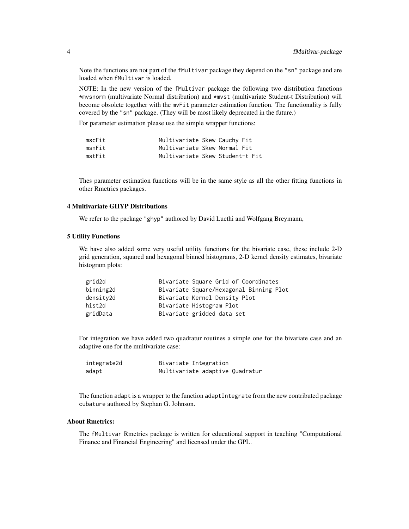Note the functions are not part of the fMultivar package they depend on the "sn" package and are loaded when fMultivar is loaded.

NOTE: In the new version of the fMultivar package the following two distribution functions \*mvsnorm (multivariate Normal distribution) and \*mvst (multivariate Student-t Distribution) will become obsolete together with the mvFit parameter estimation function. The functionality is fully covered by the "sn" package. (They will be most likely deprecated in the future.)

For parameter estimation please use the simple wrapper functions:

| mscFit | Multivariate Skew Cauchy Fit |                                 |
|--------|------------------------------|---------------------------------|
| msnFit | Multivariate Skew Normal Fit |                                 |
| mstFit |                              | Multivariate Skew Student-t Fit |

Thes parameter estimation functions will be in the same style as all the other fitting functions in other Rmetrics packages.

#### 4 Multivariate GHYP Distributions

We refer to the package "ghyp" authored by David Luethi and Wolfgang Breymann,

#### 5 Utility Functions

We have also added some very useful utility functions for the bivariate case, these include 2-D grid generation, squared and hexagonal binned histograms, 2-D kernel density estimates, bivariate histogram plots:

| grid2d    | Bivariate Square Grid of Coordinates    |
|-----------|-----------------------------------------|
| binning2d | Bivariate Square/Hexagonal Binning Plot |
| density2d | Bivariate Kernel Density Plot           |
| hist2d    | Bivariate Histogram Plot                |
| gridData  | Bivariate gridded data set              |

For integration we have added two quadratur routines a simple one for the bivariate case and an adaptive one for the multivariate case:

| integrate2d | Bivariate Integration           |  |
|-------------|---------------------------------|--|
| adapt       | Multivariate adaptive Quadratur |  |

The function adapt is a wrapper to the function adaptIntegrate from the new contributed package cubature authored by Stephan G. Johnson.

#### About Rmetrics:

The fMultivar Rmetrics package is written for educational support in teaching "Computational Finance and Financial Engineering" and licensed under the GPL.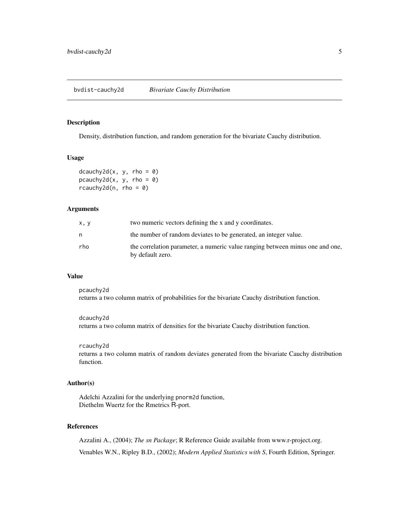<span id="page-4-0"></span>bvdist-cauchy2d *Bivariate Cauchy Distribution*

# Description

Density, distribution function, and random generation for the bivariate Cauchy distribution.

# Usage

```
dcauchy2d(x, y, rho = 0)
pcauchy2d(x, y, rho = 0)
rcauchy2d(n,rho = 0)
```
# Arguments

| x, y | two numeric vectors defining the x and y coordinates.                                             |
|------|---------------------------------------------------------------------------------------------------|
|      | the number of random deviates to be generated, an integer value.                                  |
| rho  | the correlation parameter, a numeric value ranging between minus one and one,<br>by default zero. |

#### Value

pcauchy2d returns a two column matrix of probabilities for the bivariate Cauchy distribution function.

dcauchy2d returns a two column matrix of densities for the bivariate Cauchy distribution function.

#### rcauchy2d

returns a two column matrix of random deviates generated from the bivariate Cauchy distribution function.

# Author(s)

Adelchi Azzalini for the underlying pnorm2d function, Diethelm Wuertz for the Rmetrics R-port.

# References

Azzalini A., (2004); *The sn Package*; R Reference Guide available from www.r-project.org. Venables W.N., Ripley B.D., (2002); *Modern Applied Statistics with S*, Fourth Edition, Springer.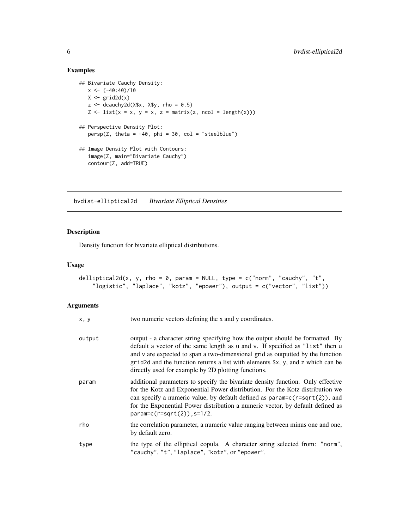# Examples

```
## Bivariate Cauchy Density:
   x < -(-40:40)/10X \leftarrow \text{grid2d}(x)z <- dcauchy2d(X$x, X$y, rho = 0.5)
   Z \leq -\text{list}(x = x, y = x, z = \text{matrix}(z, \text{ncol} = \text{length}(x)))## Perspective Density Plot:
   persp(Z, theta = -40, phi = 30, col = "steelblue")
## Image Density Plot with Contours:
   image(Z, main="Bivariate Cauchy")
   contour(Z, add=TRUE)
```
bvdist-elliptical2d *Bivariate Elliptical Densities*

# Description

Density function for bivariate elliptical distributions.

# Usage

```
delliptical2d(x, y, rho = 0, param = NULL, type = c("norm", "cauchy", "t","logistic", "laplace", "kotz", "epower"), output = c("vector", "list"))
```
# Arguments

| x, y   | two numeric vectors defining the x and y coordinates.                                                                                                                                                                                                                                                                                                                                      |
|--------|--------------------------------------------------------------------------------------------------------------------------------------------------------------------------------------------------------------------------------------------------------------------------------------------------------------------------------------------------------------------------------------------|
| output | output - a character string specifying how the output should be formatted. By<br>default a vector of the same length as u and v. If specified as "list" then u<br>and v are expected to span a two-dimensional grid as outputted by the function<br>grid2d and the function returns a list with elements \$x, y, and z which can be<br>directly used for example by 2D plotting functions. |
| param  | additional parameters to specify the bivariate density function. Only effective<br>for the Kotz and Exponential Power distribution. For the Kotz distribution we<br>can specify a numeric value, by default defined as param=c(r=sqrt(2)), and<br>for the Exponential Power distribution a numeric vector, by default defined as<br>$param=c(r=sqrt(2))$ , $s=1/2$ .                       |
| rho    | the correlation parameter, a numeric value ranging between minus one and one,<br>by default zero.                                                                                                                                                                                                                                                                                          |
| type   | the type of the elliptical copula. A character string selected from: "norm",<br>"cauchy", "t", "laplace", "kotz", or "epower".                                                                                                                                                                                                                                                             |

<span id="page-5-0"></span>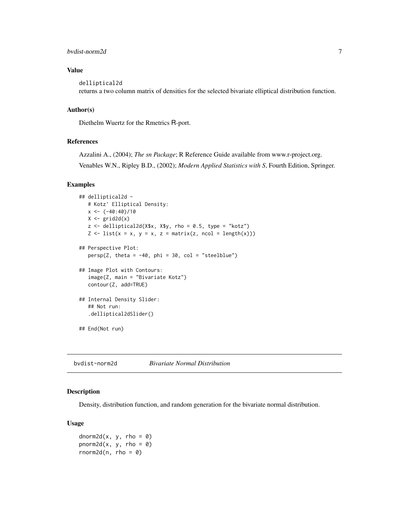# <span id="page-6-0"></span>bvdist-norm2d 7

# Value

delliptical2d

returns a two column matrix of densities for the selected bivariate elliptical distribution function.

# Author(s)

Diethelm Wuertz for the Rmetrics R-port.

### References

Azzalini A., (2004); *The sn Package*; R Reference Guide available from www.r-project.org. Venables W.N., Ripley B.D., (2002); *Modern Applied Statistics with S*, Fourth Edition, Springer.

#### Examples

```
## delliptical2d -
   # Kotz' Elliptical Density:
   x \leftarrow (-40:40)/10X \leftarrow \text{grid2d}(x)z \le delliptical2d(X$x, X$y, rho = 0.5, type = "kotz")
   Z \leftarrow \text{list}(x = x, y = x, z = \text{matrix}(z, \text{ncol} = \text{length}(x)))## Perspective Plot:
   persp(Z, theta = -40, phi = 30, col = "steelblue")
## Image Plot with Contours:
   image(Z, main = "Bivariate Kotz")
   contour(Z, add=TRUE)
## Internal Density Slider:
   ## Not run:
   .delliptical2dSlider()
## End(Not run)
```
bvdist-norm2d *Bivariate Normal Distribution*

# Description

Density, distribution function, and random generation for the bivariate normal distribution.

#### Usage

dnorm2d(x, y, rho = 0) pnorm2d(x, y, rho =  $0$ ) rnorm2d(n, rho =  $0$ )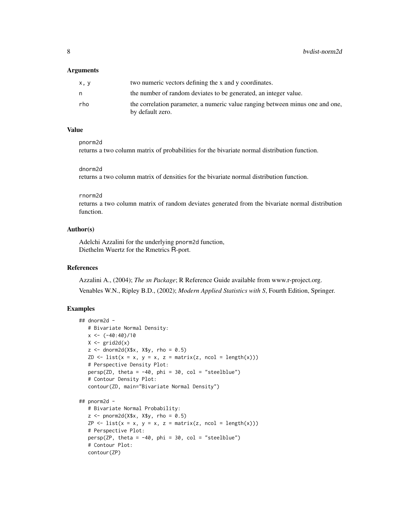#### Arguments

| x, y | two numeric vectors defining the x and y coordinates.                                             |
|------|---------------------------------------------------------------------------------------------------|
| n    | the number of random deviates to be generated, an integer value.                                  |
| rho  | the correlation parameter, a numeric value ranging between minus one and one,<br>by default zero. |

# Value

pnorm2d returns a two column matrix of probabilities for the bivariate normal distribution function.

#### dnorm2d

returns a two column matrix of densities for the bivariate normal distribution function.

#### rnorm2d

returns a two column matrix of random deviates generated from the bivariate normal distribution function.

# Author(s)

Adelchi Azzalini for the underlying pnorm2d function, Diethelm Wuertz for the Rmetrics R-port.

#### References

Azzalini A., (2004); *The sn Package*; R Reference Guide available from www.r-project.org. Venables W.N., Ripley B.D., (2002); *Modern Applied Statistics with S*, Fourth Edition, Springer.

```
## dnorm2d -
   # Bivariate Normal Density:
   x < - (-40:40)/10
  X \leftarrow \text{grid2d}(x)z \le dnorm2d(X$x, X$y, rho = 0.5)
   ZD \le list(x = x, y = x, z = matrix(z, ncol = length(x)))
   # Perspective Density Plot:
   persp(ZD, theta = -40, phi = 30, col = "steelblue")
   # Contour Density Plot:
   contour(ZD, main="Bivariate Normal Density")
## pnorm2d -
   # Bivariate Normal Probability:
   z \le pnorm2d(X$x, X$y, rho = 0.5)
   ZP \leftarrow list(x = x, y = x, z = matrix(z, ncol = length(x)))# Perspective Plot:
   persp(ZP, theta = -40, phi = 30, col = "steelblue")# Contour Plot:
   contour(ZP)
```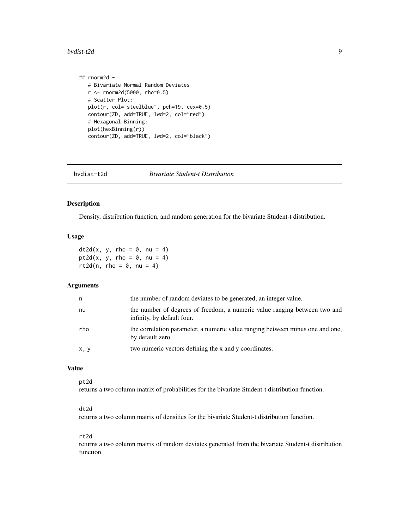#### <span id="page-8-0"></span>bvdist-t2d 9

```
## rnorm2d -
  # Bivariate Normal Random Deviates
  r <- rnorm2d(5000, rho=0.5)
  # Scatter Plot:
  plot(r, col="steelblue", pch=19, cex=0.5)
  contour(ZD, add=TRUE, lwd=2, col="red")
  # Hexagonal Binning:
  plot(hexBinning(r))
  contour(ZD, add=TRUE, lwd=2, col="black")
```
bvdist-t2d *Bivariate Student-t Distribution*

# Description

Density, distribution function, and random generation for the bivariate Student-t distribution.

#### Usage

 $dt2d(x, y, rho = 0, nu = 4)$ pt2d(x, y, rho =  $0$ , nu = 4) rt2d(n, rho =  $0$ , nu = 4)

#### Arguments

| n    | the number of random deviates to be generated, an integer value.                                        |
|------|---------------------------------------------------------------------------------------------------------|
| nu   | the number of degrees of freedom, a numeric value ranging between two and<br>infinity, by default four. |
| rho  | the correlation parameter, a numeric value ranging between minus one and one,<br>by default zero.       |
| x, y | two numeric vectors defining the x and y coordinates.                                                   |

#### Value

pt2d

returns a two column matrix of probabilities for the bivariate Student-t distribution function.

#### dt2d

returns a two column matrix of densities for the bivariate Student-t distribution function.

#### rt2d

returns a two column matrix of random deviates generated from the bivariate Student-t distribution function.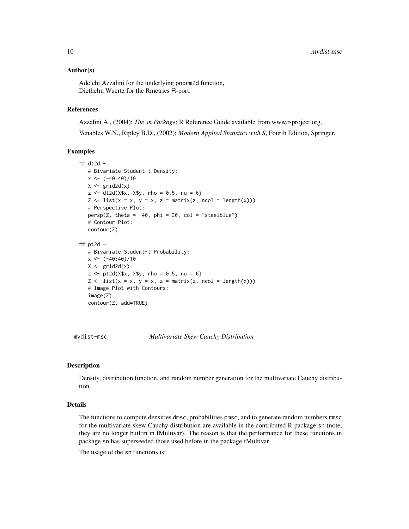#### <span id="page-9-0"></span>Author(s)

Adelchi Azzalini for the underlying pnorm2d function, Diethelm Wuertz for the Rmetrics R-port.

# References

Azzalini A., (2004); *The sn Package*; R Reference Guide available from www.r-project.org. Venables W.N., Ripley B.D., (2002); *Modern Applied Statistics with S*, Fourth Edition, Springer.

#### Examples

```
## dt2d -
   # Bivariate Student-t Density:
   x \leftarrow (-40:40)/10X \leftarrow \text{grid2d}(x)z \le - dt2d(X$x, X$y, rho = 0.5, nu = 6)
   Z \leq 1ist(x = x, y = x, z = matrix(z, ncol = length(x)))
   # Perspective Plot:
   persp(Z, theta = -40, phi = 30, col = "steelblue")
   # Contour Plot:
   contour(Z)
## pt2d -
   # Bivariate Student-t Probability:
   x \leftarrow (-40:40)/10X \leftarrow \text{grid2d}(x)z \le -pt2d(X$x, X$y, rho = 0.5, nu = 6)Z \leftarrow \text{list}(x = x, y = x, z = \text{matrix}(z, \text{ncol} = \text{length}(x)))# Image Plot with Contours:
   image(Z)
   contour(Z, add=TRUE)
```
mvdist-msc *Multivariate Skew Cauchy Distribution*

#### Description

Density, distribution function, and random number generation for the multivariate Cauchy distribution.

# Details

The functions to compute densities dmsc, probabilities pmsc, and to generate random numbers rmsc for the multivariate skew Cauchy distribution are available in the contributed R package sn (note, they are no longer builtin in fMultivar). The reason is that the performance for these functions in package sn has superseeded those used before in the package fMultivar.

The usage of the sn functions is: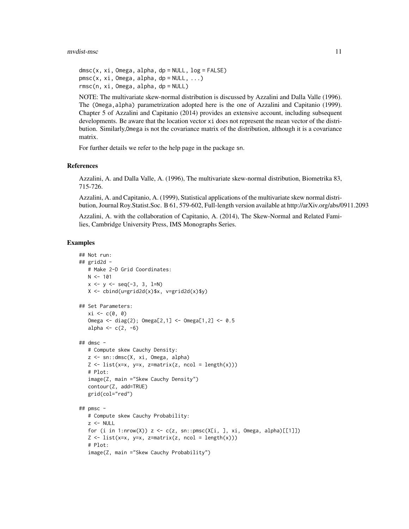#### mvdist-msc 11

```
dmsc(x, xi, Omega, alpha, dp = NULL, log = FALSE)pmsc(x, xi, Omega, alpha, dp = NULL, ...)rmsc(n, xi, Omega, alpha, dp = NULL)
```
NOTE: The multivariate skew-normal distribution is discussed by Azzalini and Dalla Valle (1996). The (Omega,alpha) parametrization adopted here is the one of Azzalini and Capitanio (1999). Chapter 5 of Azzalini and Capitanio (2014) provides an extensive account, including subsequent developments. Be aware that the location vector xi does not represent the mean vector of the distribution. Similarly,Omega is not the covariance matrix of the distribution, although it is a covariance matrix.

For further details we refer to the help page in the package sn.

#### References

Azzalini, A. and Dalla Valle, A. (1996), The multivariate skew-normal distribution, Biometrika 83, 715-726.

Azzalini, A. and Capitanio, A. (1999), Statistical applications of the multivariate skew normal distribution, Journal Roy.Statist.Soc. B 61, 579-602, Full-length version available at http://arXiv.org/abs/0911.2093

Azzalini, A. with the collaboration of Capitanio, A. (2014), The Skew-Normal and Related Families, Cambridge University Press, IMS Monographs Series.

```
## Not run:
## grid2d -
   # Make 2-D Grid Coordinates:
   N < -101x \le -y \le -\text{seq}(-3, 3, 1=N)X <- cbind(u=grid2d(x)$x, v=grid2d(x)$y)
## Set Parameters:
   xi \leftarrow c(0, 0)Omega <- diag(2); Omega[2,1] <- Omega[1,2] <- 0.5
   alpha <- c(2, -6)
## dmsc -
   # Compute skew Cauchy Density:
   z <- sn::dmsc(X, xi, Omega, alpha)
   Z \leftarrow \text{list}(x=x, y=x, z=\text{matrix}(z, \text{ncol} = \text{length}(x)))# Plot:
   image(Z, main ="Skew Cauchy Density")
   contour(Z, add=TRUE)
   grid(col="red")
## pmsc -
   # Compute skew Cauchy Probability:
   z <- NULL
   for (i in 1:nrow(X)) z \leq c(z, sn::pmsc(X[i, ], xi, Omega, alpha)[[1]])Z \leftarrow \text{list}(x=x, y=x, z=\text{matrix}(z, \text{ncol} = \text{length}(x)))# Plot:
   image(Z, main ="Skew Cauchy Probability")
```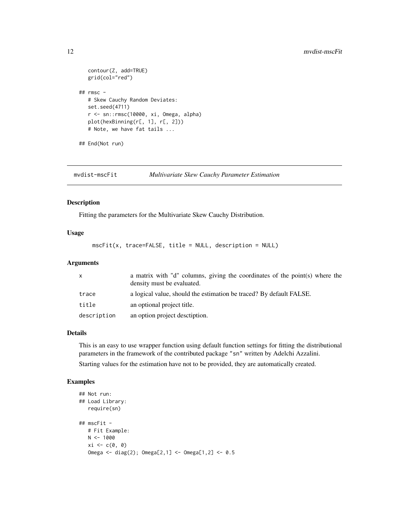```
contour(Z, add=TRUE)
  grid(col="red")
## rmsc -
  # Skew Cauchy Random Deviates:
  set.seed(4711)
  r <- sn::rmsc(10000, xi, Omega, alpha)
  plot(hexBinning(r[, 1], r[, 2]))
  # Note, we have fat tails ...
## End(Not run)
```
mvdist-mscFit *Multivariate Skew Cauchy Parameter Estimation*

# Description

Fitting the parameters for the Multivariate Skew Cauchy Distribution.

## Usage

mscFit(x, trace=FALSE, title = NULL, description = NULL)

# Arguments

| X           | a matrix with "d" columns, giving the coordinates of the point(s) where the<br>density must be evaluated. |
|-------------|-----------------------------------------------------------------------------------------------------------|
| trace       | a logical value, should the estimation be traced? By default FALSE.                                       |
| title       | an optional project title.                                                                                |
| description | an option project description.                                                                            |

#### Details

This is an easy to use wrapper function using default function settings for fitting the distributional parameters in the framework of the contributed package "sn" written by Adelchi Azzalini. Starting values for the estimation have not to be provided, they are automatically created.

```
## Not run:
## Load Library:
   require(sn)
## mscFit -
   # Fit Example:
   N < - 1000xi \leftarrow c(\emptyset, \emptyset)Omega <- diag(2); Omega[2,1] <- Omega[1,2] <- 0.5
```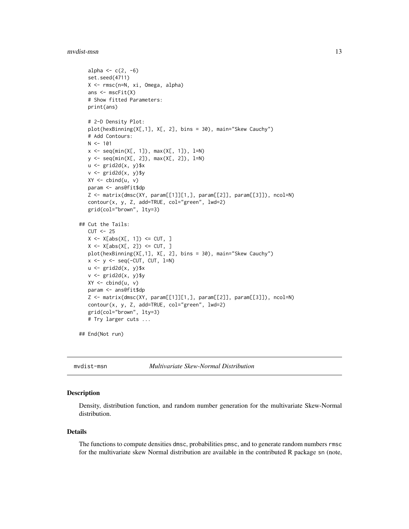#### <span id="page-12-0"></span>mvdist-msn 13

```
alpha <- c(2, -6)set.seed(4711)
   X <- rmsc(n=N, xi, Omega, alpha)
   ans \leq mscFit(X)
   # Show fitted Parameters:
   print(ans)
   # 2-D Density Plot:
   plot(hexBinning(X[,1], X[, 2], bins = 30), main="Skew Cauchy")
   # Add Contours:
   N < -101x \leq -\text{seq}(\min(X[, 1]), \max(X[, 1]), \lim_{h \to 0}y <- seq(min(X[, 2]), max(X[, 2]), l=N)
   u <- grid2d(x, y)$x
   v \leftarrow \text{grid2d}(x, y)$y
   XY \leftarrow \text{cbind}(u, v)param <- ans@fit$dp
   Z <- matrix(dmsc(XY, param[[1]][1,], param[[2]], param[[3]]), ncol=N)
   contour(x, y, Z, add=TRUE, col="green", lwd=2)
   grid(col="brown", lty=3)
## Cut the Tails:
   CUT < -25X \leftarrow X[abs(X[, 1]) \leftarrow CUT, ]X \leftarrow X[abs(X[, 2]) \leftarrow CUT, ]plot(hexBinning(X[,1], X[, 2], bins = 30), main="Skew Cauchy")
   x \leftarrow y \leftarrow seq(-CUT, CUT, 1=N)u \leftarrow \text{grid2d}(x, y)$x
   v <- grid2d(x, y)$y
   XY \leftarrow \text{cbind}(u, v)param <- ans@fit$dp
   Z <- matrix(dmsc(XY, param[[1]][1,], param[[2]], param[[3]]), ncol=N)
   contour(x, y, Z, add=TRUE, col="green", lwd=2)
   grid(col="brown", lty=3)
   # Try larger cuts ...
## End(Not run)
```
mvdist-msn *Multivariate Skew-Normal Distribution*

#### Description

Density, distribution function, and random number generation for the multivariate Skew-Normal distribution.

#### Details

The functions to compute densities dmsc, probabilities pmsc, and to generate random numbers rmsc for the multivariate skew Normal distribution are available in the contributed R package sn (note,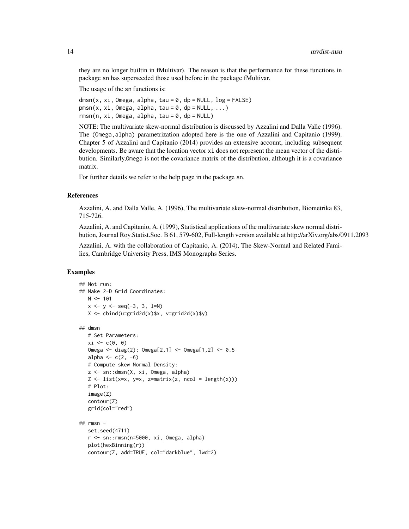they are no longer builtin in fMultivar). The reason is that the performance for these functions in package sn has superseeded those used before in the package fMultivar.

The usage of the sn functions is:

 $dmsn(x, xi, Omega, alpha, tau = 0, dp = NULL, log = FALSE)$  $pmsn(x, xi, Omega, alpha, tau = 0, dp = NULL, ...)$  $rmsn(n, xi, Omega, alpha, tau = 0, dp = NULL)$ 

NOTE: The multivariate skew-normal distribution is discussed by Azzalini and Dalla Valle (1996). The (Omega,alpha) parametrization adopted here is the one of Azzalini and Capitanio (1999). Chapter 5 of Azzalini and Capitanio (2014) provides an extensive account, including subsequent developments. Be aware that the location vector xi does not represent the mean vector of the distribution. Similarly,Omega is not the covariance matrix of the distribution, although it is a covariance matrix.

For further details we refer to the help page in the package sn.

#### References

Azzalini, A. and Dalla Valle, A. (1996), The multivariate skew-normal distribution, Biometrika 83, 715-726.

Azzalini, A. and Capitanio, A. (1999), Statistical applications of the multivariate skew normal distribution, Journal Roy.Statist.Soc. B 61, 579-602, Full-length version available at http://arXiv.org/abs/0911.2093

Azzalini, A. with the collaboration of Capitanio, A. (2014), The Skew-Normal and Related Families, Cambridge University Press, IMS Monographs Series.

```
## Not run:
## Make 2-D Grid Coordinates:
   N < -101x \le -y \le -\text{seq}(-3, 3, 1=N)X \leftarrow \text{cbind}(u = \text{grid2d}(x)$x, v = \text{grid2d}(x)$y)
## dmsn
   # Set Parameters:
   xi \leftarrow c(\emptyset, \emptyset)Omega <- diag(2); Omega[2,1] <- Omega[1,2] <- 0.5
   alpha <- c(2, -6)
   # Compute skew Normal Density:
   z <- sn::dmsn(X, xi, Omega, alpha)
   Z \leftarrow \text{list}(x=x, y=x, z=\text{matrix}(z, \text{ncol} = \text{length}(x)))# Plot:
   image(Z)
   contour(Z)
   grid(col="red")
## rmsn -
   set.seed(4711)
   r <- sn::rmsn(n=5000, xi, Omega, alpha)
   plot(hexBinning(r))
   contour(Z, add=TRUE, col="darkblue", lwd=2)
```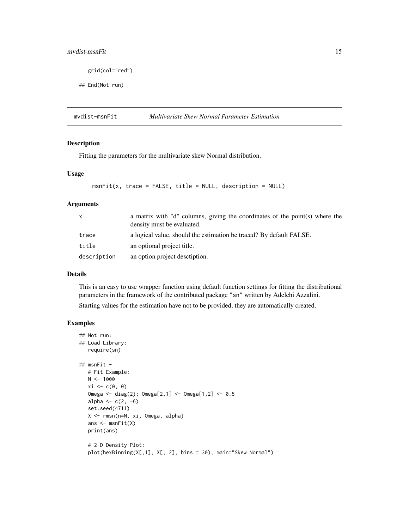# <span id="page-14-0"></span>mvdist-msnFit 15

```
grid(col="red")
```
## End(Not run)

mvdist-msnFit *Multivariate Skew Normal Parameter Estimation*

# Description

Fitting the parameters for the multivariate skew Normal distribution.

# Usage

```
msnFit(x, trace = FALSE, title = NULL, description = NULL)
```
#### Arguments

| $\mathsf{X}$ | a matrix with "d" columns, giving the coordinates of the point(s) where the<br>density must be evaluated. |
|--------------|-----------------------------------------------------------------------------------------------------------|
| trace        | a logical value, should the estimation be traced? By default FALSE.                                       |
| title        | an optional project title.                                                                                |
| description  | an option project desctiption.                                                                            |

#### Details

This is an easy to use wrapper function using default function settings for fitting the distributional parameters in the framework of the contributed package "sn" written by Adelchi Azzalini.

Starting values for the estimation have not to be provided, they are automatically created.

```
## Not run:
## Load Library:
  require(sn)
## msnFit -
  # Fit Example:
  N < - 1000xi <- c(0, 0)
  Omega <- diag(2); Omega[2,1] <- Omega[1,2] <- 0.5
  alpha <- c(2, -6)set.seed(4711)
  X <- rmsn(n=N, xi, Omega, alpha)
  ans \leq msnFit(X)
  print(ans)
  # 2-D Density Plot:
  plot(hexBinning(X[,1], X[, 2], bins = 30), main="Skew Normal")
```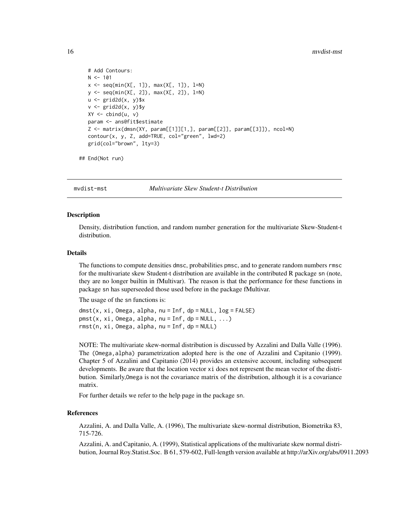```
# Add Contours:
N < -101x \leq -\text{seq}(\min(X[, 1]), \max(X[, 1]), \lim_{h \to 0}y <- seq(min(X[, 2]), max(X[, 2]), l=N)
u <- grid2d(x, y)$x
v \leftarrow \text{grid2d}(x, y)$y
XY \leftarrow \text{cbind}(u, v)param <- ans@fit$estimate
Z <- matrix(dmsn(XY, param[[1]][1,], param[[2]], param[[3]]), ncol=N)
contour(x, y, Z, add=TRUE, col="green", lwd=2)
grid(col="brown", lty=3)
```

```
## End(Not run)
```
mvdist-mst *Multivariate Skew Student-t Distribution*

#### **Description**

Density, distribution function, and random number generation for the multivariate Skew-Student-t distribution.

# Details

The functions to compute densities dmsc, probabilities pmsc, and to generate random numbers rmsc for the multivariate skew Student-t distribution are available in the contributed R package sn (note, they are no longer builtin in fMultivar). The reason is that the performance for these functions in package sn has superseeded those used before in the package fMultivar.

The usage of the sn functions is:

 $dmst(x, xi, Omega, alpha, nu = Inf, dp = NULL, log = FALSE)$  $pmst(x, xi, Omega, alpha, nu = Inf, dp = NULL, ...)$  $rmst(n, xi, Omega, alpha, nu = Inf, dp = NULL)$ 

NOTE: The multivariate skew-normal distribution is discussed by Azzalini and Dalla Valle (1996). The (Omega,alpha) parametrization adopted here is the one of Azzalini and Capitanio (1999). Chapter 5 of Azzalini and Capitanio (2014) provides an extensive account, including subsequent developments. Be aware that the location vector xi does not represent the mean vector of the distribution. Similarly,Omega is not the covariance matrix of the distribution, although it is a covariance matrix.

For further details we refer to the help page in the package sn.

# References

Azzalini, A. and Dalla Valle, A. (1996), The multivariate skew-normal distribution, Biometrika 83, 715-726.

Azzalini, A. and Capitanio, A. (1999), Statistical applications of the multivariate skew normal distribution, Journal Roy.Statist.Soc. B 61, 579-602, Full-length version available at http://arXiv.org/abs/0911.2093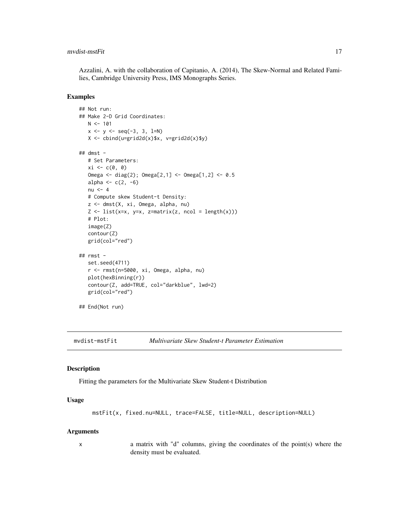# <span id="page-16-0"></span>mvdist-mstFit 17

Azzalini, A. with the collaboration of Capitanio, A. (2014), The Skew-Normal and Related Families, Cambridge University Press, IMS Monographs Series.

#### Examples

```
## Not run:
## Make 2-D Grid Coordinates:
   N < -101x \le -y \le -\text{seq}(-3, 3, 1=N)X <- cbind(u=grid2d(x)$x, v=grid2d(x)$y)
## dmst -
   # Set Parameters:
   xi \leftarrow c(\emptyset, \emptyset)Omega <- diag(2); Omega[2,1] <- Omega[1,2] <- 0.5
   alpha <- c(2, -6)nu <-4# Compute skew Student-t Density:
   z <- dmst(X, xi, Omega, alpha, nu)
   Z \leftarrow \text{list}(x=x, y=x, z=\text{matrix}(z, \text{ncol} = \text{length}(x)))# Plot:
   image(Z)
   contour(Z)
   grid(col="red")
## rmst -
   set.seed(4711)
   r <- rmst(n=5000, xi, Omega, alpha, nu)
   plot(hexBinning(r))
   contour(Z, add=TRUE, col="darkblue", lwd=2)
   grid(col="red")
## End(Not run)
```
mvdist-mstFit *Multivariate Skew Student-t Parameter Estimation*

#### Description

Fitting the parameters for the Multivariate Skew Student-t Distribution

#### Usage

```
mstFit(x, fixed.nu=NULL, trace=FALSE, title=NULL, description=NULL)
```
#### Arguments

x a matrix with "d" columns, giving the coordinates of the point(s) where the density must be evaluated.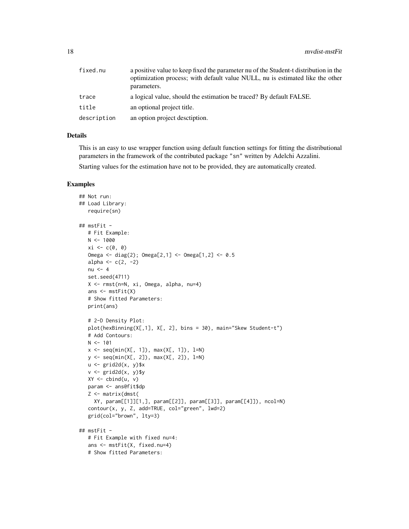| fixed.nu    | a positive value to keep fixed the parameter nu of the Student-t distribution in the<br>optimization process; with default value NULL, nu is estimated like the other<br>parameters. |
|-------------|--------------------------------------------------------------------------------------------------------------------------------------------------------------------------------------|
| trace       | a logical value, should the estimation be traced? By default FALSE.                                                                                                                  |
| title       | an optional project title.                                                                                                                                                           |
| description | an option project description.                                                                                                                                                       |

#### Details

This is an easy to use wrapper function using default function settings for fitting the distributional parameters in the framework of the contributed package "sn" written by Adelchi Azzalini.

Starting values for the estimation have not to be provided, they are automatically created.

```
## Not run:
## Load Library:
   require(sn)
## mstFit -
   # Fit Example:
   N < - 1000xi \leftarrow c(\emptyset, \emptyset)Omega <- diag(2); Omega[2,1] <- Omega[1,2] <- 0.5
   alpha \leq c(2, -2)nu <-4set.seed(4711)
   X <- rmst(n=N, xi, Omega, alpha, nu=4)
   ans <- mstFit(X)
   # Show fitted Parameters:
   print(ans)
   # 2-D Density Plot:
   plot(hexBinning(X[,1], X[, 2], bins = 30), main="Skew Student-t")
   # Add Contours:
   N < -101x \leq -\text{seq}(\min(X[, 1]), \max(X[, 1]), \lim_{h \to 0}y \leq -\text{seq}(\min(X[, 2]), \max(X[, 2]), 1=N)u \leftarrow \text{grid2d}(x, y)$x
   v \leq -\text{grid2d}(x, y)$y
   XY \leftarrow \text{cbind}(u, v)param <- ans@fit$dp
   Z <- matrix(dmst(
     XY, param[[1]][1,], param[[2]], param[[3]], param[[4]]), ncol=N)
   contour(x, y, Z, add=TRUE, col="green", lwd=2)
   grid(col="brown", lty=3)
## mstFit -
   # Fit Example with fixed nu=4:
   ans <- mstFit(X, fixed.nu=4)
   # Show fitted Parameters:
```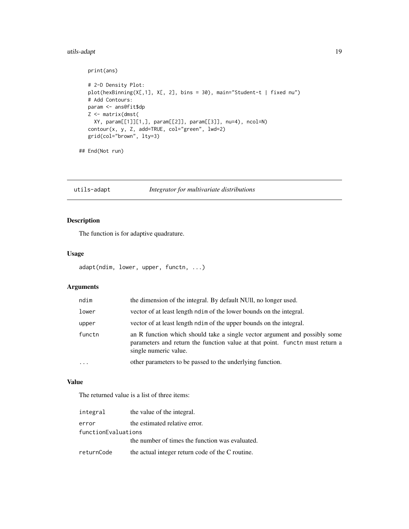# <span id="page-18-0"></span>utils-adapt 19

```
print(ans)
# 2-D Density Plot:
plot(hexBinning(X[,1], X[, 2], bins = 30), main="Student-t | fixed nu")
# Add Contours:
param <- ans@fit$dp
Z <- matrix(dmst(
  XY, param[[1]][1,], param[[2]], param[[3]], nu=4), ncol=N)
contour(x, y, Z, add=TRUE, col="green", lwd=2)
grid(col="brown", lty=3)
```
## End(Not run)

utils-adapt *Integrator for multivariate distributions*

# Description

The function is for adaptive quadrature.

# Usage

```
adapt(ndim, lower, upper, functn, ...)
```
# Arguments

| ndim      | the dimension of the integral. By default NUII, no longer used.                                                                                                                    |
|-----------|------------------------------------------------------------------------------------------------------------------------------------------------------------------------------------|
| lower     | vector of at least length noties of the lower bounds on the integral.                                                                                                              |
| upper     | vector of at least length ndim of the upper bounds on the integral.                                                                                                                |
| functn    | an R function which should take a single vector argument and possibly some<br>parameters and return the function value at that point. Funct must return a<br>single numeric value. |
| $\ddotsc$ | other parameters to be passed to the underlying function.                                                                                                                          |

# Value

The returned value is a list of three items:

| integral            | the value of the integral.                       |  |
|---------------------|--------------------------------------------------|--|
| error               | the estimated relative error.                    |  |
| functionEvaluations |                                                  |  |
|                     | the number of times the function was evaluated.  |  |
| returnCode          | the actual integer return code of the C routine. |  |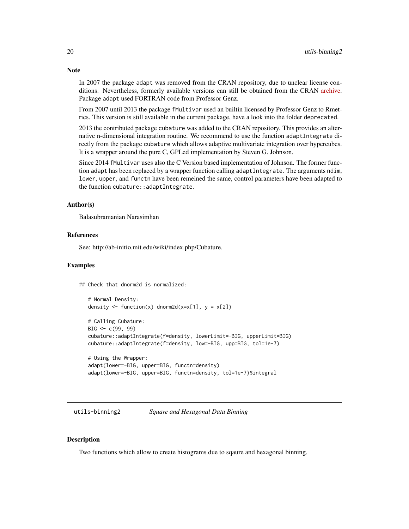In 2007 the package adapt was removed from the CRAN repository, due to unclear license conditions. Nevertheless, formerly available versions can still be obtained from the CRAN [archive.](https://cran.r-project.org/package=adapt) Package adapt used FORTRAN code from Professor Genz.

From 2007 until 2013 the package fMultivar used an builtin licensed by Professor Genz to Rmetrics. This version is still available in the current package, have a look into the folder deprecated.

2013 the contributed package cubature was added to the CRAN repository. This provides an alternative n-dimensional integration routine. We recommend to use the function adaptIntegrate directly from the package cubature which allows adaptive multivariate integration over hypercubes. It is a wrapper around the pure C, GPLed implementation by Steven G. Johnson.

Since 2014 fMultivar uses also the C Version based implementation of Johnson. The former function adapt has been replaced by a wrapper function calling adaptIntegrate. The arguments ndim, lower, upper, and functn have been remeined the same, control parameters have been adapted to the function cubature::adaptIntegrate.

#### Author(s)

Balasubramanian Narasimhan

# References

See: http://ab-initio.mit.edu/wiki/index.php/Cubature.

#### Examples

## Check that dnorm2d is normalized:

```
# Normal Density:
density \le function(x) dnorm2d(x=x[1], y = x[2])
# Calling Cubature:
BIG \leftarrow c(99, 99)cubature::adaptIntegrate(f=density, lowerLimit=-BIG, upperLimit=BIG)
cubature::adaptIntegrate(f=density, low=-BIG, upp=BIG, tol=1e-7)
# Using the Wrapper:
adapt(lower=-BIG, upper=BIG, functn=density)
```

```
adapt(lower=-BIG, upper=BIG, functn=density, tol=1e-7)$integral
```
utils-binning2 *Square and Hexagonal Data Binning*

#### **Description**

Two functions which allow to create histograms due to sqaure and hexagonal binning.

# <span id="page-19-0"></span>**Note**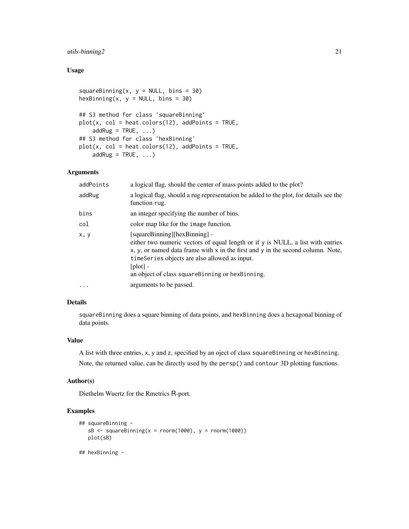# utils-binning2 21

# Usage

```
squareBinning(x, y = NULL, bins = 30)
hexBinning(x, y = NULL, bins = 30)## S3 method for class 'squareBinning'
plot(x, col = heats = 12), addPoints = TRUE,
   addRug = TRUE, ...)## S3 method for class 'hexBinning'
plot(x, col = heat.colors(12), addPoints = TRUE,addRug = TRUE, ...)
```
# Arguments

| addPoints | a logical flag, should the center of mass points added to the plot?                                                                                                                                                                                                                                                   |
|-----------|-----------------------------------------------------------------------------------------------------------------------------------------------------------------------------------------------------------------------------------------------------------------------------------------------------------------------|
| addRug    | a logical flag, should a rug representation be added to the plot, for details see the<br>function rug.                                                                                                                                                                                                                |
| bins      | an integer specifying the number of bins.                                                                                                                                                                                                                                                                             |
| col       | color map like for the image function.                                                                                                                                                                                                                                                                                |
| x, y      | [squareBinning][hexBinning] -<br>either two numeric vectors of equal length or if y is NULL, a list with entries<br>x, y, or named data frame with x in the first and y in the second column. Note,<br>timeSeries objects are also allowed as input.<br>$[plot]$ -<br>an object of class squareBinning or hexBinning. |
|           | arguments to be passed.                                                                                                                                                                                                                                                                                               |

# Details

squareBinning does a square binning of data points, and hexBinning does a hexagonal binning of data points.

#### Value

A list with three entries, x, y and z, specified by an oject of class squareBinning or hexBinning. Note, the returned value, can be directly used by the persp() and contour 3D plotting functions.

#### Author(s)

Diethelm Wuertz for the Rmetrics R-port.

```
## squareBinning -
  sB \leq - squareBinning(x = rnorm(1000), y = rnorm(1000))
  plot(sB)
## hexBinning -
```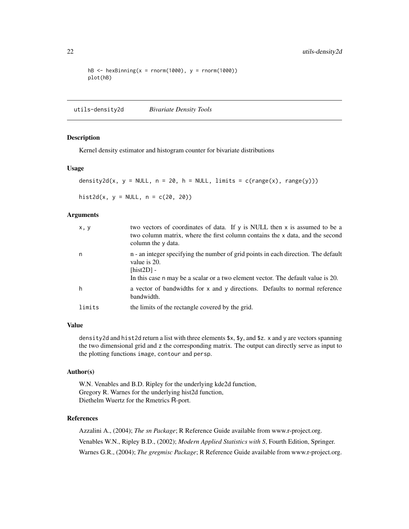```
hB \leftarrow hexBinning(x = rnorm(1000), y = rnorm(1000))
plot(hB)
```
utils-density2d *Bivariate Density Tools*

#### Description

Kernel density estimator and histogram counter for bivariate distributions

#### Usage

```
density2d(x, y = NULL, n = 20, h = NULL, limits = c(range(x), range(y)))
```
hist2d(x,  $y = NULL$ ,  $n = c(20, 20)$ )

#### Arguments

| x, y   | two vectors of coordinates of data. If y is NULL then x is assumed to be a<br>two column matrix, where the first column contains the x data, and the second<br>column the y data.                      |
|--------|--------------------------------------------------------------------------------------------------------------------------------------------------------------------------------------------------------|
| n      | n - an integer specifying the number of grid points in each direction. The default<br>value is 20.<br>$[hist2D] -$<br>In this case n may be a scalar or a two element vector. The default value is 20. |
| h      | a vector of bandwidths for x and y directions. Defaults to normal reference<br>bandwidth.                                                                                                              |
| limits | the limits of the rectangle covered by the grid.                                                                                                                                                       |

#### Value

density2d and hist2d return a list with three elements \$x, \$y, and \$z. x and y are vectors spanning the two dimensional grid and z the corresponding matrix. The output can directly serve as input to the plotting functions image, contour and persp.

# Author(s)

W.N. Venables and B.D. Ripley for the underlying kde2d function, Gregory R. Warnes for the underlying hist2d function, Diethelm Wuertz for the Rmetrics R-port.

# References

Azzalini A., (2004); *The sn Package*; R Reference Guide available from www.r-project.org. Venables W.N., Ripley B.D., (2002); *Modern Applied Statistics with S*, Fourth Edition, Springer. Warnes G.R., (2004); *The gregmisc Package*; R Reference Guide available from www.r-project.org.

<span id="page-21-0"></span>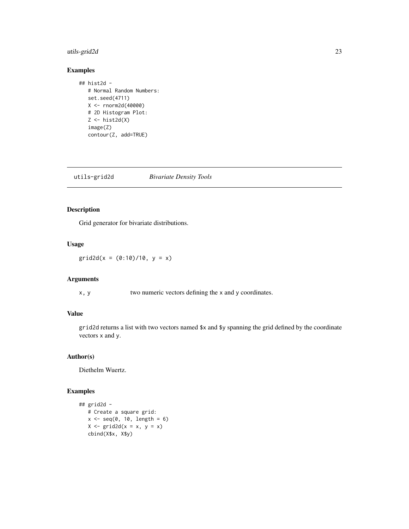# <span id="page-22-0"></span>utils-grid2d 23

# Examples

```
## hist2d -
   # Normal Random Numbers:
   set.seed(4711)
   X <- rnorm2d(40000)
   # 2D Histogram Plot:
   Z \leftarrow \text{hist2d}(X)image(Z)
   contour(Z, add=TRUE)
```
utils-grid2d *Bivariate Density Tools*

# Description

Grid generator for bivariate distributions.

# Usage

 $grid2d(x = (0:10)/10, y = x)$ 

# Arguments

x, y two numeric vectors defining the x and y coordinates.

# Value

grid2d returns a list with two vectors named \$x and \$y spanning the grid defined by the coordinate vectors x and y.

# Author(s)

Diethelm Wuertz.

```
## grid2d -
   # Create a square grid:
   x \leftarrow \text{seq}(0, 10, \text{length} = 6)X \leftarrow \text{grid2d}(x = x, y = x)cbind(X$x, X$y)
```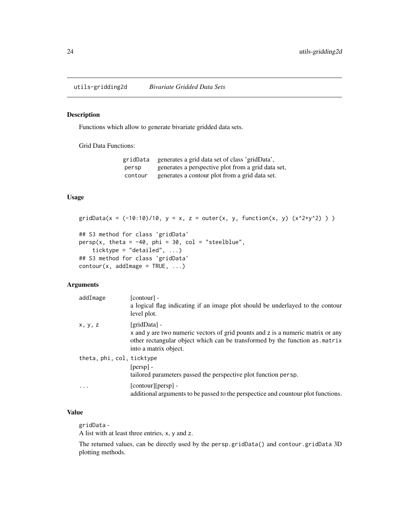<span id="page-23-0"></span>utils-gridding2d *Bivariate Gridded Data Sets*

# Description

Functions which allow to generate bivariate gridded data sets.

Grid Data Functions:

gridData generates a grid data set of class 'gridData', persp generates a perspective plot from a grid data set, contour generates a contour plot from a grid data set.

# Usage

```
gridData(x = (-10:10)/10, y = x, z = outer(x, y, function(x, y) (x^2+y^2)) )## S3 method for class 'gridData'
persp(x, theta = -40, phi = 30, col = "steelblue",
    ticktype = "detailed", ...)
## S3 method for class 'gridData'
contour(x, addImage = TRUE, ...)
```
#### Arguments

| addImage                  | $[contour] -$<br>a logical flag indicating if an image plot should be underlayed to the contour<br>level plot.                                                                                          |
|---------------------------|---------------------------------------------------------------------------------------------------------------------------------------------------------------------------------------------------------|
| x, y, z                   | [gridData] -<br>x and y are two numeric vectors of grid pounts and z is a numeric matrix or any<br>other rectangular object which can be transformed by the function as matrix<br>into a matrix object. |
| theta, phi, col, ticktype | $[persp]$ -<br>tailored parameters passed the perspective plot function persp.                                                                                                                          |
| $\cdot$                   | [contour][persp] -<br>additional arguments to be passed to the perspectice and countour plot functions.                                                                                                 |

# Value

gridData -

A list with at least three entries, x, y and z.

The returned values, can be directly used by the persp.gridData() and contour.gridData 3D plotting methods.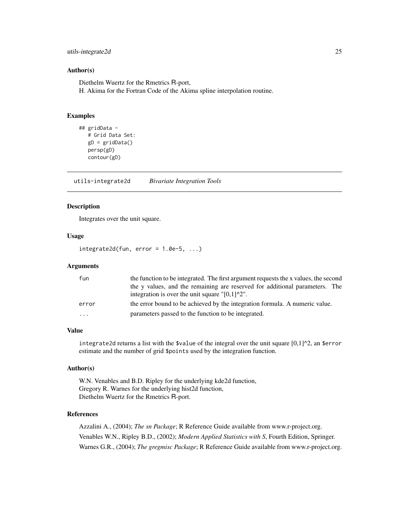# <span id="page-24-0"></span>utils-integrate2d 25

#### Author(s)

Diethelm Wuertz for the Rmetrics R-port,

H. Akima for the Fortran Code of the Akima spline interpolation routine.

#### Examples

```
## gridData -
  # Grid Data Set:
  gD = gridData()persp(gD)
  contour(gD)
```
utils-integrate2d *Bivariate Integration Tools*

#### Description

Integrates over the unit square.

# Usage

```
integerate2d(fun, error = 1.0e-5, ...)
```
#### Arguments

| fun   | the function to be integrated. The first argument requests the x values, the second |
|-------|-------------------------------------------------------------------------------------|
|       | the y values, and the remaining are reserved for additional parameters. The         |
|       | integration is over the unit square $\lceil 0.1 \rceil^2$ .                         |
| error | the error bound to be achieved by the integration formula. A numeric value.         |
| .     | parameters passed to the function to be integrated.                                 |

# Value

integrate2d returns a list with the \$value of the integral over the unit square  $[0,1]$ <sup> $\wedge$ 2, an \$error</sup> estimate and the number of grid \$points used by the integration function.

# Author(s)

W.N. Venables and B.D. Ripley for the underlying kde2d function, Gregory R. Warnes for the underlying hist2d function, Diethelm Wuertz for the Rmetrics R-port.

# References

Azzalini A., (2004); *The sn Package*; R Reference Guide available from www.r-project.org. Venables W.N., Ripley B.D., (2002); *Modern Applied Statistics with S*, Fourth Edition, Springer. Warnes G.R., (2004); *The gregmisc Package*; R Reference Guide available from www.r-project.org.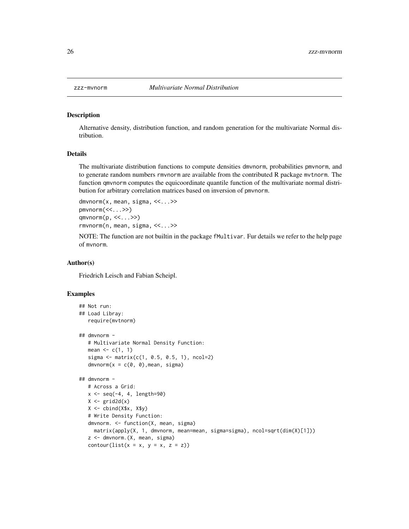<span id="page-25-0"></span>

#### Description

Alternative density, distribution function, and random generation for the multivariate Normal distribution.

# Details

The multivariate distribution functions to compute densities dmvnorm, probabilities pmvnorm, and to generate random numbers rmvnorm are available from the contributed R package mvtnorm. The function qmvnorm computes the equicoordinate quantile function of the multivariate normal distribution for arbitrary correlation matrices based on inversion of pmvnorm.

```
dmvnorm(x, mean, sigma, <<...>>
pmvnorm(<<...>>)
qmvnorm(p, <<...>>)
rmvnorm(n, mean, sigma, <<...>>
```
NOTE: The function are not builtin in the package fMultivar. Fur details we refer to the help page of mvnorm.

#### Author(s)

Friedrich Leisch and Fabian Scheipl.

```
## Not run:
## Load Libray:
   require(mvtnorm)
## dmvnorm -
   # Multivariate Normal Density Function:
   mean \leq c(1, 1)sigma \leq matrix(c(1, 0.5, 0.5, 1), ncol=2)
   dmvnorm(x = c(0, 0), mean, sigma)
## dmvnorm -
   # Across a Grid:
   x \leq -\text{seq}(-4, 4, \text{length}=90)X \leftarrow \text{grid2d}(x)X \leftarrow \text{cbind}(X$x, X$y)
   # Write Density Function:
   dmvnorm. <- function(X, mean, sigma)
     matrix(apply(X, 1, dmvnorm, mean=mean, sigma=sigma), ncol=sqrt(dim(X)[1]))
   z <- dmvnorm.(X, mean, sigma)
   contour(list(x = x, y = x, z = z))
```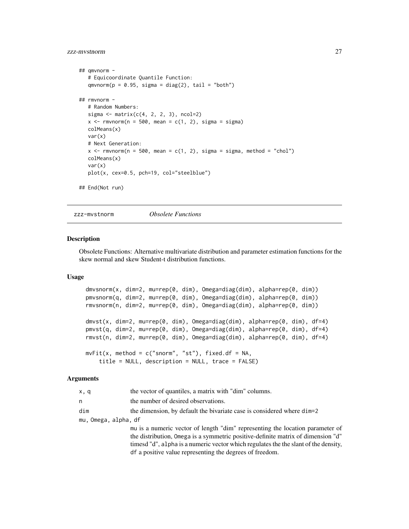# <span id="page-26-0"></span>zzz-mvstnorm 27

```
## qmvnorm -
   # Equicoordinate Quantile Function:
  qmvnorm(p = 0.95, sigma = diag(2), tail = "both")## rmvnorm -
  # Random Numbers:
  sigma \leq matrix(c(4, 2, 2, 3), ncol=2)
  x \leq r mvnorm(n = 500, mean = c(1, 2), sigma = sigma)
  colMeans(x)
  var(x)
  # Next Generation:
  x \leq rmvnorm(n = 500, mean = c(1, 2), sigma = sigma, method = "chol")
  colMeans(x)
  var(x)
  plot(x, cex=0.5, pch=19, col="steelblue")
## End(Not run)
```
zzz-mvstnorm *Obsolete Functions*

#### Description

Obsolete Functions: Alternative multivariate distribution and parameter estimation functions for the skew normal and skew Student-t distribution functions.

#### Usage

```
dmvsnorm(x, dim=2, mu=rep(0, dim), Omega=diag(dim), alpha=rep(0, dim))
pmvsnorm(q, dim=2, mu=rep(0, dim), Omega=diag(dim), alpha=rep(0, dim))
rmvsnorm(n, dim=2, mu=rep(0, dim), Omega=diag(dim), alpha=rep(0, dim))
dmvst(x, dim=2, mu=rep(0, dim), Omega=diag(dim), alpha=rep(0, dim), df=4)
pmvst(q, dim=2, mu=rep(0, dim), Omega=diag(dim), alpha=rep(0, dim), df=4)
rmvst(n, dim=2, mu=rep(0, dim), Omega=diag(dim), alpha=rep(0, dim), df=4)
mvFit(x, method = c("snorm", "st"), fixed df = NA,title = NULL, description = NULL, trace = FALSE)
```
#### Arguments

| x, q                 | the vector of quantiles, a matrix with "dim" columns.                                                                                                                                                                                                                                                                |  |
|----------------------|----------------------------------------------------------------------------------------------------------------------------------------------------------------------------------------------------------------------------------------------------------------------------------------------------------------------|--|
| n.                   | the number of desired observations.                                                                                                                                                                                                                                                                                  |  |
| dim                  | the dimension, by default the bivariate case is considered where dim-2                                                                                                                                                                                                                                               |  |
| mu, Omega, alpha, df |                                                                                                                                                                                                                                                                                                                      |  |
|                      | mu is a numeric vector of length "dim" representing the location parameter of<br>the distribution, Omega is a symmetric positive-definite matrix of dimension "d"<br>timesd "d", alpha is a numeric vector which regulates the the slant of the density,<br>df a positive value representing the degrees of freedom. |  |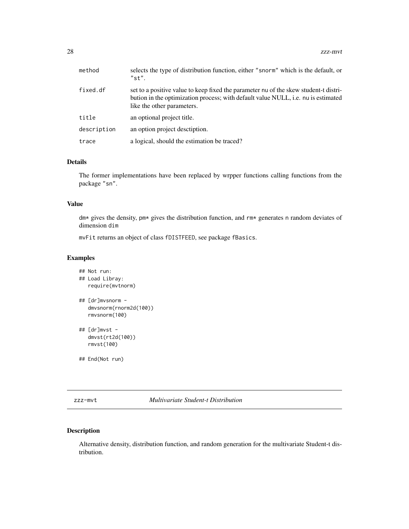<span id="page-27-0"></span>

| method      | selects the type of distribution function, either "snorm" which is the default, or<br>"st".                                                                                                             |
|-------------|---------------------------------------------------------------------------------------------------------------------------------------------------------------------------------------------------------|
| fixed.df    | set to a positive value to keep fixed the parameter nu of the skew student-t distri-<br>bution in the optimization process; with default value NULL, i.e. nu is estimated<br>like the other parameters. |
| title       | an optional project title.                                                                                                                                                                              |
| description | an option project description.                                                                                                                                                                          |
| trace       | a logical, should the estimation be traced?                                                                                                                                                             |

# Details

The former implementations have been replaced by wrpper functions calling functions from the package "sn".

#### Value

dm\* gives the density, pm\* gives the distribution function, and rm\* generates n random deviates of dimension dim

mvFit returns an object of class fDISTFEED, see package fBasics.

# Examples

```
## Not run:
## Load Libray:
  require(mvtnorm)
## [dr]mvsnorm -
  dmvsnorm(rnorm2d(100))
  rmvsnorm(100)
## [dr]mvst -
  dmvst(rt2d(100))
  rmvst(100)
## End(Not run)
```
zzz-mvt *Multivariate Student-t Distribution*

# Description

Alternative density, distribution function, and random generation for the multivariate Student-t distribution.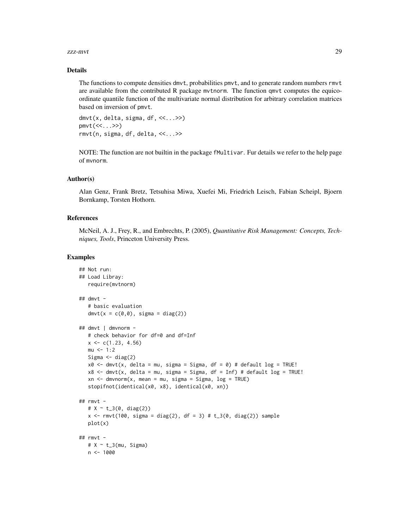#### zzz-mvt 29

#### Details

The functions to compute densities dmvt, probabilities pmvt, and to generate random numbers rmvt are available from the contributed R package mvtnorm. The function qmvt computes the equicoordinate quantile function of the multivariate normal distribution for arbitrary correlation matrices based on inversion of pmvt.

 $dmvt(x, delta, sigma, df, \langle \langle ... \rangle)$ pmvt(<<...>>) rmvt(n, sigma, df, delta, <<...>>

NOTE: The function are not builtin in the package fMultivar. Fur details we refer to the help page of mvnorm.

# Author(s)

Alan Genz, Frank Bretz, Tetsuhisa Miwa, Xuefei Mi, Friedrich Leisch, Fabian Scheipl, Bjoern Bornkamp, Torsten Hothorn.

# References

McNeil, A. J., Frey, R., and Embrechts, P. (2005), *Quantitative Risk Management: Concepts, Techniques, Tools*, Princeton University Press.

```
## Not run:
## Load Libray:
  require(mvtnorm)
## dmvt -# basic evaluation
  dmvt(x = c(0,0), sigma = diag(2))## dmvt | dmvnorm -
  # check behavior for df=0 and df=Inf
  x \leq -c(1.23, 4.56)mu < - 1:2Sigma \leq diag(2)
  x0 \leq -dmvt(x, delta = mu, sigma = Sigma, df = 0) # default log = TRUE!
  x8 <- dmvt(x, delta = mu, sigma = Sigma, df = Inf) # default log = TRUE!
  xn \leq -dmvnorm(x, mean = mu, sigma = Sigma, log = TRUE)stopifnot(identical(x0, x8), identical(x0, xn))
## rmvt -
  # X ~ t_3(0, diag(2))
  x \le rmvt(100, sigma = diag(2), df = 3) # t_3(0, diag(2)) sample
  plot(x)
## rmvt -
  # X ~ \sim ~ t_3(mu, Sigma)n < -1000
```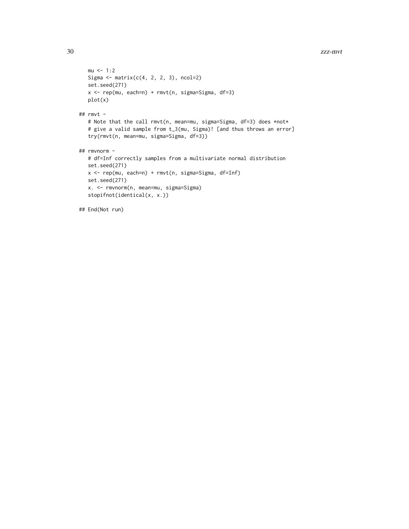```
mu < -1:2Sigma \leq matrix(c(4, 2, 2, 3), ncol=2)
  set.seed(271)
  x <- rep(mu, each=n) + rmvt(n, sigma=Sigma, df=3)
  plot(x)
## rmvt -
  # Note that the call rmvt(n, mean=mu, sigma=Sigma, df=3) does *not*
   # give a valid sample from t_3(mu, Sigma)! [and thus throws an error]
   try(rmvt(n, mean=mu, sigma=Sigma, df=3))
## rmvnorm -
  # df=Inf correctly samples from a multivariate normal distribution
  set.seed(271)
  x <- rep(mu, each=n) + rmvt(n, sigma=Sigma, df=Inf)
  set.seed(271)
  x. <- rmvnorm(n, mean=mu, sigma=Sigma)
  stopifnot(identical(x, x.))
## End(Not run)
```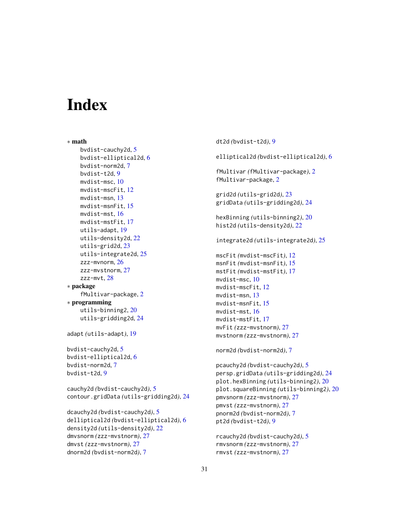# <span id="page-30-0"></span>**Index**

∗ math bvdist-cauchy2d, [5](#page-4-0) bvdist-elliptical2d, [6](#page-5-0) bvdist-norm2d, [7](#page-6-0) bvdist-t2d, [9](#page-8-0) mvdist-msc, [10](#page-9-0) mvdist-mscFit, [12](#page-11-0) mvdist-msn, [13](#page-12-0) mvdist-msnFit, [15](#page-14-0) mvdist-mst, [16](#page-15-0) mvdist-mstFit, [17](#page-16-0) utils-adapt, [19](#page-18-0) utils-density2d, [22](#page-21-0) utils-grid2d, [23](#page-22-0) utils-integrate2d, [25](#page-24-0) zzz-mvnorm, [26](#page-25-0) zzz-mvstnorm, [27](#page-26-0) zzz-mvt, [28](#page-27-0) ∗ package fMultivar-package, [2](#page-1-0) ∗ programming utils-binning2, [20](#page-19-0) utils-gridding2d, [24](#page-23-0) adapt *(*utils-adapt*)*, [19](#page-18-0) bvdist-cauchy2d, [5](#page-4-0) bvdist-elliptical2d, [6](#page-5-0) bvdist-norm2d, [7](#page-6-0) bvdist-t2d, [9](#page-8-0) cauchy2d *(*bvdist-cauchy2d*)*, [5](#page-4-0) contour.gridData *(*utils-gridding2d*)*, [24](#page-23-0) dcauchy2d *(*bvdist-cauchy2d*)*, [5](#page-4-0) delliptical2d *(*bvdist-elliptical2d*)*, [6](#page-5-0)

```
density2d (utils-density2d), 22
dmvsnorm (zzz-mvstnorm), 27
dmvst (zzz-mvstnorm), 27
dnorm2d (bvdist-norm2d), 7
```
dt2d *(*bvdist-t2d*)*, [9](#page-8-0) elliptical2d *(*bvdist-elliptical2d*)*, [6](#page-5-0) fMultivar *(*fMultivar-package*)*, [2](#page-1-0) fMultivar-package, [2](#page-1-0) grid2d *(*utils-grid2d*)*, [23](#page-22-0) gridData *(*utils-gridding2d*)*, [24](#page-23-0) hexBinning *(*utils-binning2*)*, [20](#page-19-0) hist2d *(*utils-density2d*)*, [22](#page-21-0) integrate2d *(*utils-integrate2d*)*, [25](#page-24-0) mscFit *(*mvdist-mscFit*)*, [12](#page-11-0) msnFit *(*mvdist-msnFit*)*, [15](#page-14-0) mstFit *(*mvdist-mstFit*)*, [17](#page-16-0) mvdist-msc, [10](#page-9-0) mvdist-mscFit, [12](#page-11-0) mvdist-msn, [13](#page-12-0) mvdist-msnFit, [15](#page-14-0) mvdist-mst, [16](#page-15-0) mvdist-mstFit, [17](#page-16-0) mvFit *(*zzz-mvstnorm*)*, [27](#page-26-0) mvstnorm *(*zzz-mvstnorm*)*, [27](#page-26-0) norm2d *(*bvdist-norm2d*)*, [7](#page-6-0) pcauchy2d *(*bvdist-cauchy2d*)*, [5](#page-4-0)

persp.gridData *(*utils-gridding2d*)*, [24](#page-23-0) plot.hexBinning *(*utils-binning2*)*, [20](#page-19-0) plot.squareBinning *(*utils-binning2*)*, [20](#page-19-0) pmvsnorm *(*zzz-mvstnorm*)*, [27](#page-26-0) pmvst *(*zzz-mvstnorm*)*, [27](#page-26-0) pnorm2d *(*bvdist-norm2d*)*, [7](#page-6-0) pt2d *(*bvdist-t2d*)*, [9](#page-8-0)

```
rcauchy2d (bvdist-cauchy2d), 5
rmvsnorm (zzz-mvstnorm), 27
rmvst (zzz-mvstnorm), 27
```